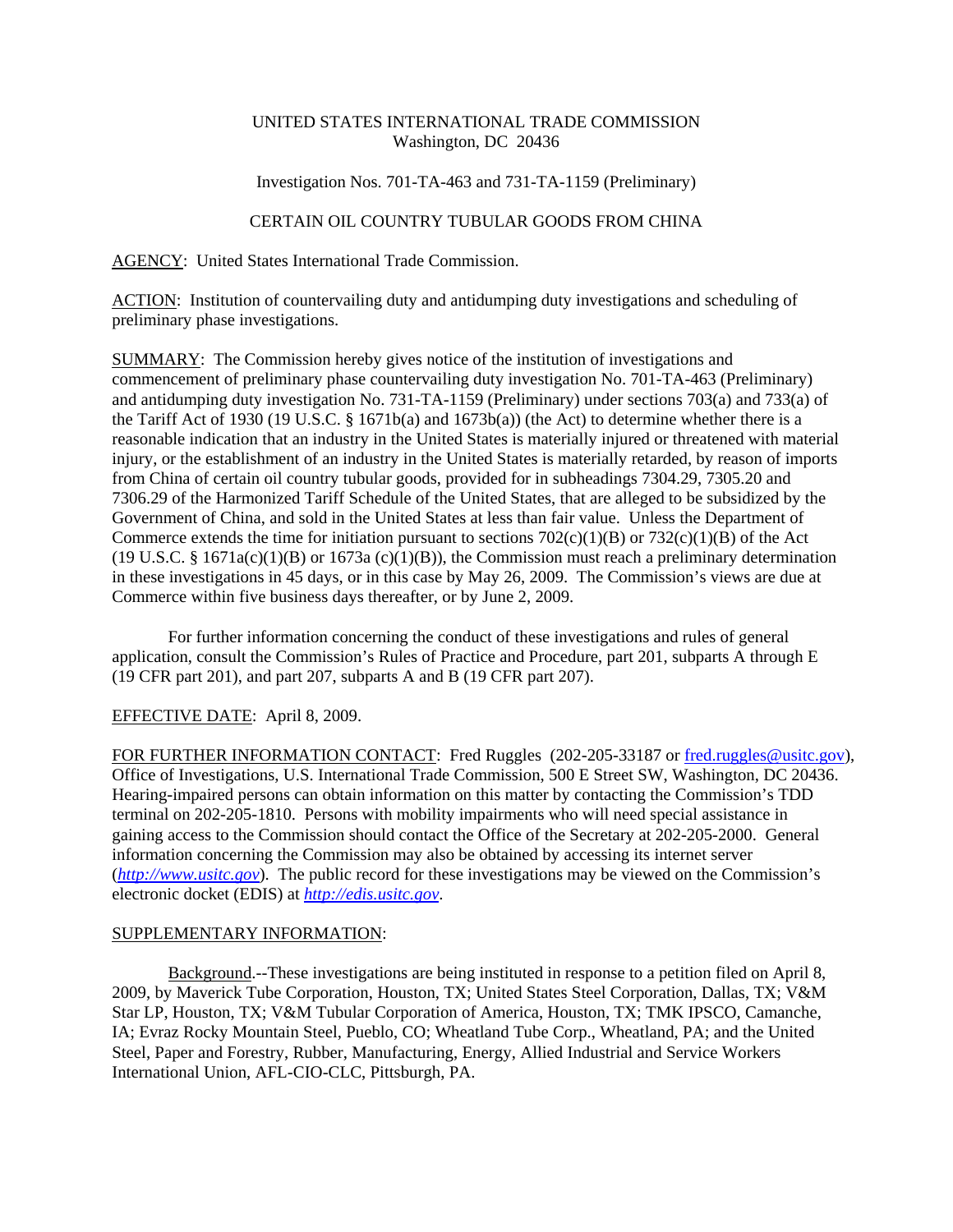# UNITED STATES INTERNATIONAL TRADE COMMISSION Washington, DC 20436

### Investigation Nos. 701-TA-463 and 731-TA-1159 (Preliminary)

# CERTAIN OIL COUNTRY TUBULAR GOODS FROM CHINA

AGENCY: United States International Trade Commission.

ACTION: Institution of countervailing duty and antidumping duty investigations and scheduling of preliminary phase investigations.

SUMMARY: The Commission hereby gives notice of the institution of investigations and commencement of preliminary phase countervailing duty investigation No. 701-TA-463 (Preliminary) and antidumping duty investigation No. 731-TA-1159 (Preliminary) under sections 703(a) and 733(a) of the Tariff Act of 1930 (19 U.S.C. § 1671b(a) and 1673b(a)) (the Act) to determine whether there is a reasonable indication that an industry in the United States is materially injured or threatened with material injury, or the establishment of an industry in the United States is materially retarded, by reason of imports from China of certain oil country tubular goods, provided for in subheadings 7304.29, 7305.20 and 7306.29 of the Harmonized Tariff Schedule of the United States, that are alleged to be subsidized by the Government of China, and sold in the United States at less than fair value. Unless the Department of Commerce extends the time for initiation pursuant to sections  $702(c)(1)(B)$  or  $732(c)(1)(B)$  of the Act  $(19 \text{ U.S.C. } § 1671a(c)(1)(B)$  or  $1673a(c)(1)(B)$ , the Commission must reach a preliminary determination in these investigations in 45 days, or in this case by May 26, 2009. The Commission's views are due at Commerce within five business days thereafter, or by June 2, 2009.

For further information concerning the conduct of these investigations and rules of general application, consult the Commission's Rules of Practice and Procedure, part 201, subparts A through E (19 CFR part 201), and part 207, subparts A and B (19 CFR part 207).

# EFFECTIVE DATE: April 8, 2009.

FOR FURTHER INFORMATION CONTACT: Fred Ruggles (202-205-33187 or fred.ruggles@usitc.gov), Office of Investigations, U.S. International Trade Commission, 500 E Street SW, Washington, DC 20436. Hearing-impaired persons can obtain information on this matter by contacting the Commission's TDD terminal on 202-205-1810. Persons with mobility impairments who will need special assistance in gaining access to the Commission should contact the Office of the Secretary at 202-205-2000. General information concerning the Commission may also be obtained by accessing its internet server (*http://www.usitc.gov*). The public record for these investigations may be viewed on the Commission's electronic docket (EDIS) at *http://edis.usitc.gov*.

#### SUPPLEMENTARY INFORMATION:

Background.--These investigations are being instituted in response to a petition filed on April 8, 2009, by Maverick Tube Corporation, Houston, TX; United States Steel Corporation, Dallas, TX; V&M Star LP, Houston, TX; V&M Tubular Corporation of America, Houston, TX; TMK IPSCO, Camanche, IA; Evraz Rocky Mountain Steel, Pueblo, CO; Wheatland Tube Corp., Wheatland, PA; and the United Steel, Paper and Forestry, Rubber, Manufacturing, Energy, Allied Industrial and Service Workers International Union, AFL-CIO-CLC, Pittsburgh, PA.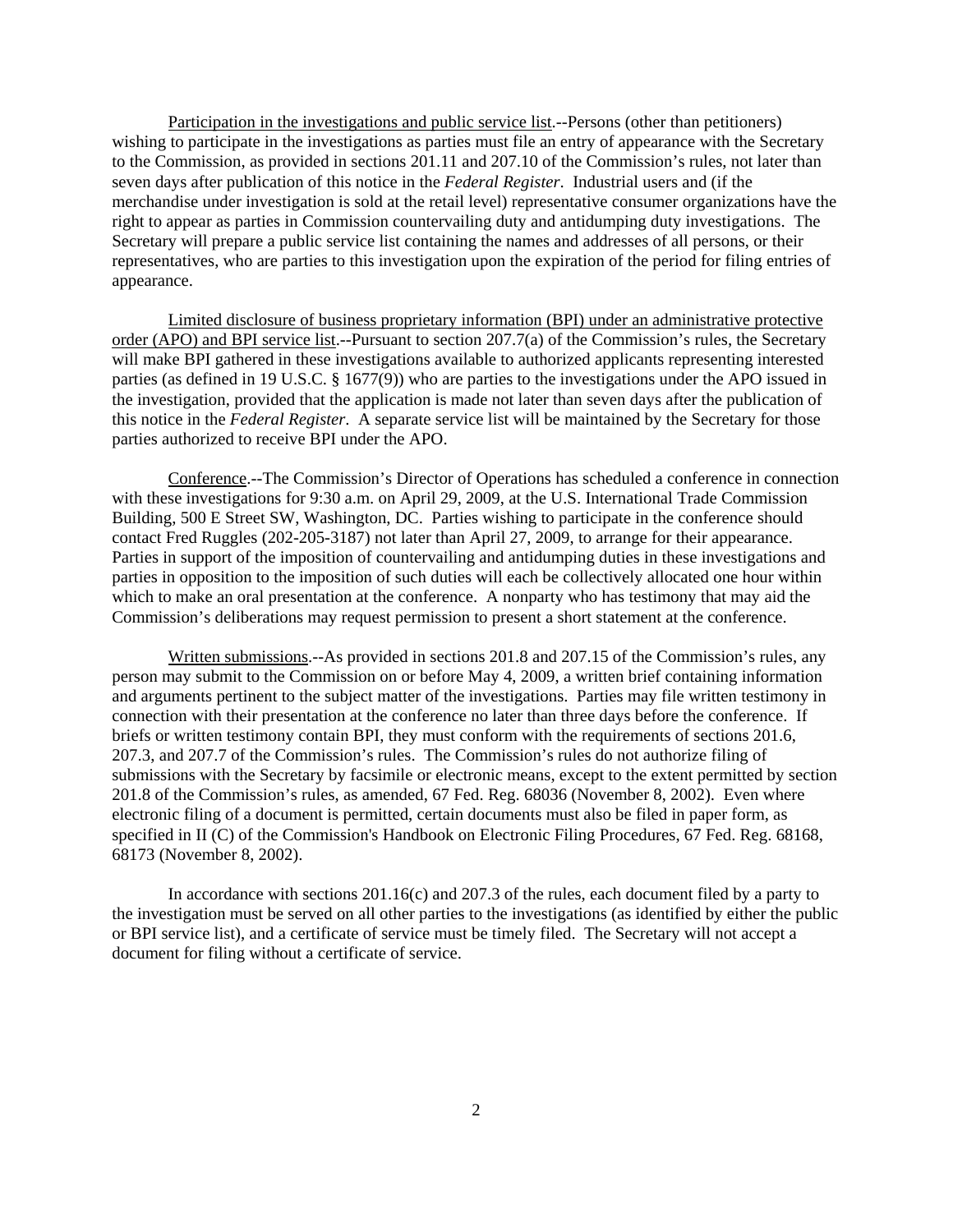Participation in the investigations and public service list.--Persons (other than petitioners) wishing to participate in the investigations as parties must file an entry of appearance with the Secretary to the Commission, as provided in sections 201.11 and 207.10 of the Commission's rules, not later than seven days after publication of this notice in the *Federal Register*. Industrial users and (if the merchandise under investigation is sold at the retail level) representative consumer organizations have the right to appear as parties in Commission countervailing duty and antidumping duty investigations. The Secretary will prepare a public service list containing the names and addresses of all persons, or their representatives, who are parties to this investigation upon the expiration of the period for filing entries of appearance.

Limited disclosure of business proprietary information (BPI) under an administrative protective order (APO) and BPI service list.--Pursuant to section 207.7(a) of the Commission's rules, the Secretary will make BPI gathered in these investigations available to authorized applicants representing interested parties (as defined in 19 U.S.C. § 1677(9)) who are parties to the investigations under the APO issued in the investigation, provided that the application is made not later than seven days after the publication of this notice in the *Federal Register*. A separate service list will be maintained by the Secretary for those parties authorized to receive BPI under the APO.

Conference.--The Commission's Director of Operations has scheduled a conference in connection with these investigations for 9:30 a.m. on April 29, 2009, at the U.S. International Trade Commission Building, 500 E Street SW, Washington, DC. Parties wishing to participate in the conference should contact Fred Ruggles (202-205-3187) not later than April 27, 2009, to arrange for their appearance. Parties in support of the imposition of countervailing and antidumping duties in these investigations and parties in opposition to the imposition of such duties will each be collectively allocated one hour within which to make an oral presentation at the conference. A nonparty who has testimony that may aid the Commission's deliberations may request permission to present a short statement at the conference.

Written submissions.--As provided in sections 201.8 and 207.15 of the Commission's rules, any person may submit to the Commission on or before May 4, 2009, a written brief containing information and arguments pertinent to the subject matter of the investigations. Parties may file written testimony in connection with their presentation at the conference no later than three days before the conference. If briefs or written testimony contain BPI, they must conform with the requirements of sections 201.6, 207.3, and 207.7 of the Commission's rules. The Commission's rules do not authorize filing of submissions with the Secretary by facsimile or electronic means, except to the extent permitted by section 201.8 of the Commission's rules, as amended, 67 Fed. Reg. 68036 (November 8, 2002). Even where electronic filing of a document is permitted, certain documents must also be filed in paper form, as specified in II (C) of the Commission's Handbook on Electronic Filing Procedures, 67 Fed. Reg. 68168, 68173 (November 8, 2002).

In accordance with sections 201.16(c) and 207.3 of the rules, each document filed by a party to the investigation must be served on all other parties to the investigations (as identified by either the public or BPI service list), and a certificate of service must be timely filed. The Secretary will not accept a document for filing without a certificate of service.